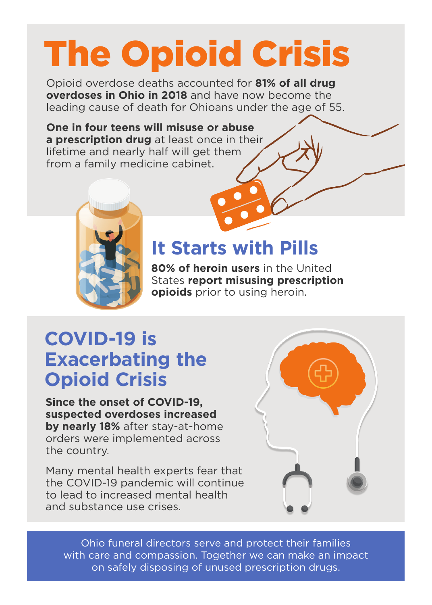# The Opioid Crisis

Opioid overdose deaths accounted for **81% of all drug overdoses in Ohio in 2018** and have now become the leading cause of death for Ohioans under the age of 55.

**One in four teens will misuse or abuse a prescription drug** at least once in their lifetime and nearly half will get them from a family medicine cabinet.



#### **It Starts with Pills**

**80% of heroin users** in the United States **report misusing prescription opioids** prior to using heroin.

### **COVID-19 is Exacerbating the Opioid Crisis**

**Since the onset of COVID-19, suspected overdoses increased by nearly 18%** after stay-at-home orders were implemented across the country.

Many mental health experts fear that the COVID-19 pandemic will continue to lead to increased mental health and substance use crises.



Ohio funeral directors serve and protect their families with care and compassion. Together we can make an impact on safely disposing of unused prescription drugs.